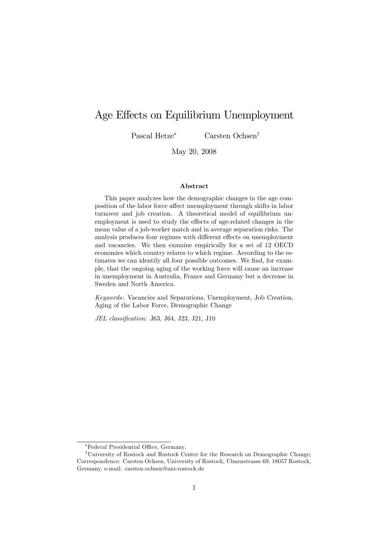# Age Effects on Equilibrium Unemployment

Pascal Hetze<sup>\*</sup> Carsten Ochsen<sup>†</sup>

May 20, 2008

#### Abstract

This paper analyzes how the demographic changes in the age composition of the labor force affect unemployment through shifts in labor turnover and job creation. A theoretical model of equilibrium unemployment is used to study the effects of age-related changes in the mean value of a job-worker match and in average separation risks. The analysis produces four regimes with different effects on unemployment and vacancies. We then examine empirically for a set of 12 OECD economies which country relates to which regime. According to the estimates we can identify all four possible outcomes. We find, for example, that the ongoing aging of the working force will cause an increase in unemployment in Australia, France and Germany but a decrease in Sweden and North America.

Keywords: Vacancies and Separations, Unemployment, Job Creation, Aging of the Labor Force, Demographic Change

JEL classification: J63, J64, J23, J21, J10

<sup>\*</sup>Federal Presidential Office, Germany.

<sup>&</sup>lt;sup>†</sup>University of Rostock and Rostock Center for the Research on Demographic Change; Correspondence: Carsten Ochsen, University of Rostock, Ulmenstrasse 69, 18057 Rostock, Germany, e-mail: carsten.ochsen@uni-rostock.de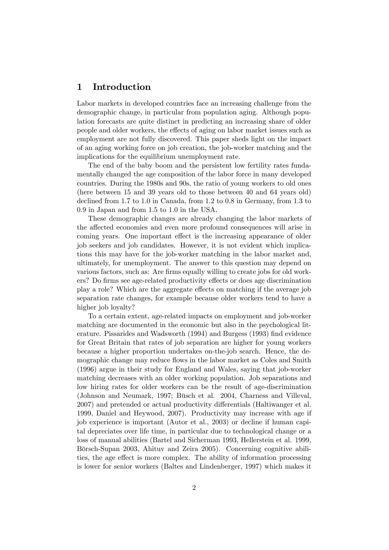# 1 Introduction

Labor markets in developed countries face an increasing challenge from the demographic change, in particular from population aging. Although population forecasts are quite distinct in predicting an increasing share of older people and older workers, the effects of aging on labor market issues such as employment are not fully discovered. This paper sheds light on the impact of an aging working force on job creation, the job-worker matching and the implications for the equilibrium unemployment rate.

The end of the baby boom and the persistent low fertility rates fundamentally changed the age composition of the labor force in many developed countries. During the 1980s and 90s, the ratio of young workers to old ones (here between 15 and 39 years old to those between 40 and 64 years old) declined from 1.7 to 1.0 in Canada, from 1.2 to 0.8 in Germany, from 1.3 to 0.9 in Japan and from 1.5 to 1.0 in the USA.

These demographic changes are already changing the labor markets of the affected economies and even more profound consequences will arise in coming years. One important effect is the increasing appearance of older job seekers and job candidates. However, it is not evident which implications this may have for the job-worker matching in the labor market and, ultimately, for unemployment. The answer to this question may depend on various factors, such as: Are firms equally willing to create jobs for old workers? Do firms see age-related productivity effects or does age discrimination play a role? Which are the aggregate effects on matching if the average job separation rate changes, for example because older workers tend to have a higher job loyalty?

To a certain extent, age-related impacts on employment and job-worker matching are documented in the economic but also in the psychological literature. Pissarides and Wadsworth (1994) and Burgess (1993) find evidence for Great Britain that rates of job separation are higher for young workers because a higher proportion undertakes on-the-job search. Hence, the demographic change may reduce flows in the labor market as Coles and Smith (1996) argue in their study for England and Wales, saying that job-worker matching decreases with an older working population. Job separations and low hiring rates for older workers can be the result of age-discrimination (Johnson and Neumark, 1997; Büsch et al. 2004, Charness and Villeval, 2007) and pretended or actual productivity differentials (Haltiwanger et al. 1999, Daniel and Heywood, 2007). Productivity may increase with age if job experience is important (Autor et al., 2003) or decline if human capital depreciates over life time, in particular due to technological change or a loss of manual abilities (Bartel and Sicherman 1993, Hellerstein et al. 1999, Bˆrsch-Supan 2003, Ahituv and Zeira 2005). Concerning cognitive abilities, the age effect is more complex. The ability of information processing is lower for senior workers (Baltes and Lindenberger, 1997) which makes it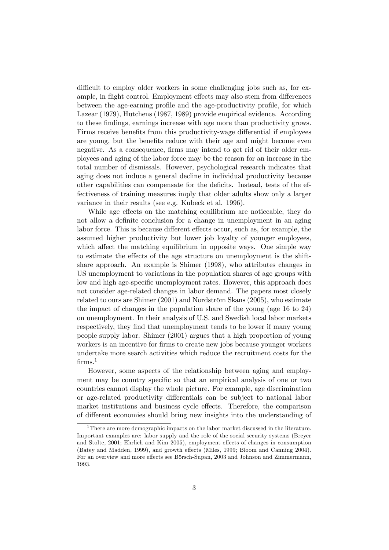difficult to employ older workers in some challenging jobs such as, for example, in flight control. Employment effects may also stem from differences between the age-earning profile and the age-productivity profile, for which Lazear (1979), Hutchens (1987, 1989) provide empirical evidence. According to these Öndings, earnings increase with age more than productivity grows. Firms receive benefits from this productivity-wage differential if employees are young, but the benefits reduce with their age and might become even negative. As a consequence, firms may intend to get rid of their older employees and aging of the labor force may be the reason for an increase in the total number of dismissals. However, psychological research indicates that aging does not induce a general decline in individual productivity because other capabilities can compensate for the deficits. Instead, tests of the effectiveness of training measures imply that older adults show only a larger variance in their results (see e.g. Kubeck et al. 1996).

While age effects on the matching equilibrium are noticeable, they do not allow a definite conclusion for a change in unemployment in an aging labor force. This is because different effects occur, such as, for example, the assumed higher productivity but lower job loyalty of younger employees, which affect the matching equilibrium in opposite ways. One simple way to estimate the effects of the age structure on unemployment is the shiftshare approach. An example is Shimer (1998), who attributes changes in US unemployment to variations in the population shares of age groups with low and high age-specific unemployment rates. However, this approach does not consider age-related changes in labor demand. The papers most closely related to ours are Shimer  $(2001)$  and Nordström Skans  $(2005)$ , who estimate the impact of changes in the population share of the young (age 16 to 24) on unemployment. In their analysis of U.S. and Swedish local labor markets respectively, they find that unemployment tends to be lower if many young people supply labor. Shimer (2001) argues that a high proportion of young workers is an incentive for firms to create new jobs because younger workers undertake more search activities which reduce the recruitment costs for the  $firms.<sup>1</sup>$ 

However, some aspects of the relationship between aging and employment may be country specific so that an empirical analysis of one or two countries cannot display the whole picture. For example, age discrimination or age-related productivity differentials can be subject to national labor market institutions and business cycle effects. Therefore, the comparison of different economies should bring new insights into the understanding of

<sup>&</sup>lt;sup>1</sup>There are more demographic impacts on the labor market discussed in the literature. Important examples are: labor supply and the role of the social security systems (Breyer and Stolte, 2001; Ehrlich and Kim 2005), employment effects of changes in consumption (Batey and Madden, 1999), and growth effects (Miles, 1999; Bloom and Canning 2004). For an overview and more effects see Börsch-Supan, 2003 and Johnson and Zimmermann, 1993.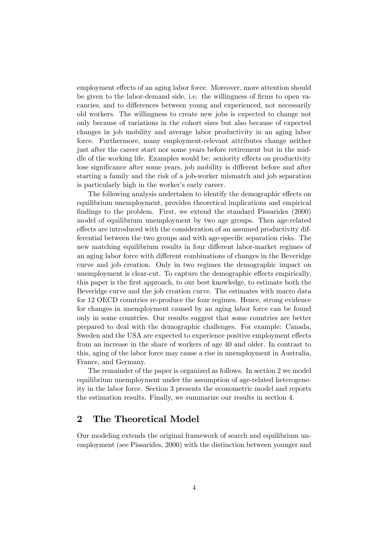employment effects of an aging labor force. Moreover, more attention should be given to the labor-demand side, i.e. the willingness of firms to open vacancies, and to differences between young and experienced, not necessarily old workers. The willingness to create new jobs is expected to change not only because of variations in the cohort sizes but also because of expected changes in job mobility and average labor productivity in an aging labor force. Furthermore, many employment-relevant attributes change neither just after the career start nor some years before retirement but in the middle of the working life. Examples would be: seniority effects on productivity lose significance after some years, job mobility is different before and after starting a family and the risk of a job-worker mismatch and job separation is particularly high in the worker's early career.

The following analysis undertaken to identify the demographic effects on equilibrium unemployment, provides theoretical implications and empirical findings to the problem. First, we extend the standard Pissarides (2000) model of equilibrium unemployment by two age groups. Then age-related effects are introduced with the consideration of an assumed productivity differential between the two groups and with age-specific separation risks. The new matching equilibrium results in four different labor-market regimes of an aging labor force with different combinations of changes in the Beveridge curve and job creation. Only in two regimes the demographic impact on unemployment is clear-cut. To capture the demographic effects empirically, this paper is the Örst approach, to our best knowledge, to estimate both the Beveridge curve and the job creation curve. The estimates with macro data for 12 OECD countries re-produce the four regimes. Hence, strong evidence for changes in unemployment caused by an aging labor force can be found only in some countries. Our results suggest that some countries are better prepared to deal with the demographic challenges. For example: Canada, Sweden and the USA are expected to experience positive employment effects from an increase in the share of workers of age 40 and older. In contrast to this, aging of the labor force may cause a rise in unemployment in Australia, France, and Germany.

The remainder of the paper is organized as follows. In section 2 we model equilibrium unemployment under the assumption of age-related heterogeneity in the labor force. Section 3 presents the econometric model and reports the estimation results. Finally, we summarize our results in section 4.

# 2 The Theoretical Model

Our modeling extends the original framework of search and equilibrium unemployment (see Pissarides, 2000) with the distinction between younger and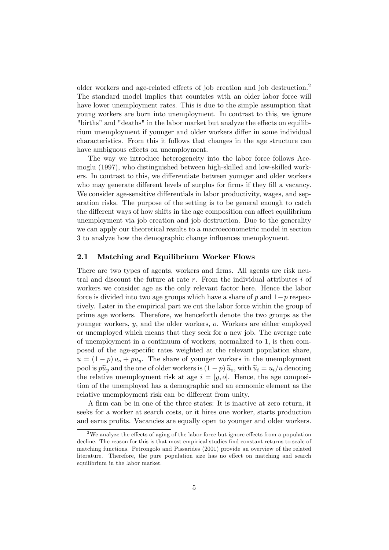older workers and age-related effects of job creation and job destruction.<sup>2</sup> The standard model implies that countries with an older labor force will have lower unemployment rates. This is due to the simple assumption that young workers are born into unemployment. In contrast to this, we ignore "births" and "deaths" in the labor market but analyze the effects on equilibrium unemployment if younger and older workers differ in some individual characteristics. From this it follows that changes in the age structure can have ambiguous effects on unemployment.

The way we introduce heterogeneity into the labor force follows Acemoglu (1997), who distinguished between high-skilled and low-skilled workers. In contrast to this, we differentiate between younger and older workers who may generate different levels of surplus for firms if they fill a vacancy. We consider age-sensitive differentials in labor productivity, wages, and separation risks. The purpose of the setting is to be general enough to catch the different ways of how shifts in the age composition can affect equilibrium unemployment via job creation and job destruction. Due to the generality we can apply our theoretical results to a macroeconometric model in section 3 to analyze how the demographic change influences unemployment.

# 2.1 Matching and Equilibrium Worker Flows

There are two types of agents, workers and firms. All agents are risk neutral and discount the future at rate  $r$ . From the individual attributes  $i$  of workers we consider age as the only relevant factor here. Hence the labor force is divided into two age groups which have a share of  $p$  and  $1-p$  respectively. Later in the empirical part we cut the labor force within the group of prime age workers. Therefore, we henceforth denote the two groups as the younger workers, y, and the older workers, o. Workers are either employed or unemployed which means that they seek for a new job. The average rate of unemployment in a continuum of workers, normalized to 1, is then composed of the age-specific rates weighted at the relevant population share,  $u = (1 - p) u<sub>o</sub> + p u<sub>y</sub>$ . The share of younger workers in the unemployment pool is  $p\tilde{u}_y$  and the one of older workers is  $(1-p)\tilde{u}_o$ , with  $\tilde{u}_i=u_i/u$  denoting the relative unemployment risk at age  $i = [y, o]$ . Hence, the age composition of the unemployed has a demographic and an economic element as the relative unemployment risk can be different from unity.

A Örm can be in one of the three states: It is inactive at zero return, it seeks for a worker at search costs, or it hires one worker, starts production and earns profits. Vacancies are equally open to younger and older workers.

<sup>&</sup>lt;sup>2</sup>We analyze the effects of aging of the labor force but ignore effects from a population decline. The reason for this is that most empirical studies find constant returns to scale of matching functions. Petrongolo and Pissarides (2001) provide an overview of the related literature. Therefore, the pure population size has no effect on matching and search equilibrium in the labor market.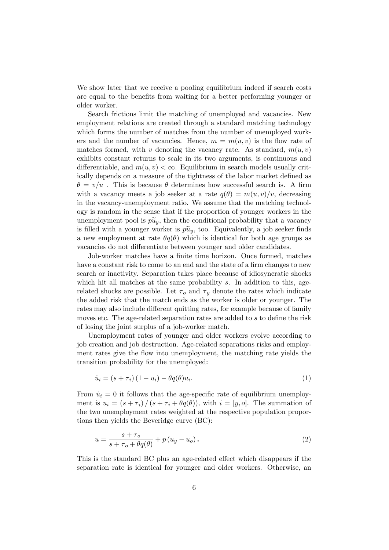We show later that we receive a pooling equilibrium indeed if search costs are equal to the benefits from waiting for a better performing younger or older worker.

Search frictions limit the matching of unemployed and vacancies. New employment relations are created through a standard matching technology which forms the number of matches from the number of unemployed workers and the number of vacancies. Hence,  $m = m(u, v)$  is the flow rate of matches formed, with v denoting the vacancy rate. As standard,  $m(u, v)$ exhibits constant returns to scale in its two arguments, is continuous and differentiable, and  $m(u, v) < \infty$ . Equilibrium in search models usually critically depends on a measure of the tightness of the labor market defined as  $\theta = v/u$ . This is because  $\theta$  determines how successful search is. A firm with a vacancy meets a job seeker at a rate  $q(\theta) = m(u, v)/v$ , decreasing in the vacancy-unemployment ratio. We assume that the matching technology is random in the sense that if the proportion of younger workers in the unemployment pool is  $p\tilde{u}_y$ , then the conditional probability that a vacancy is filled with a younger worker is  $p\tilde{u}_y$ , too. Equivalently, a job seeker finds a new employment at rate  $\theta q(\theta)$  which is identical for both age groups as vacancies do not differentiate between younger and older candidates.

Job-worker matches have a finite time horizon. Once formed, matches have a constant risk to come to an end and the state of a firm changes to new search or inactivity. Separation takes place because of idiosyncratic shocks which hit all matches at the same probability s. In addition to this, agerelated shocks are possible. Let  $\tau_o$  and  $\tau_y$  denote the rates which indicate the added risk that the match ends as the worker is older or younger. The rates may also include different quitting rates, for example because of family moves etc. The age-related separation rates are added to  $s$  to define the risk of losing the joint surplus of a job-worker match.

Unemployment rates of younger and older workers evolve according to job creation and job destruction. Age-related separations risks and employment rates give the flow into unemployment, the matching rate yields the transition probability for the unemployed:

$$
\dot{u}_i = (s + \tau_i) (1 - u_i) - \theta q(\theta) u_i.
$$
\n<sup>(1)</sup>

From  $\dot{u}_i = 0$  it follows that the age-specific rate of equilibrium unemployment is  $u_i = (s + \tau_i) / (s + \tau_i + \theta q(\theta))$ , with  $i = [y, o]$ . The summation of the two unemployment rates weighted at the respective population proportions then yields the Beveridge curve (BC):

$$
u = \frac{s + \tau_o}{s + \tau_o + \theta q(\theta)} + p(u_y - u_o). \tag{2}
$$

This is the standard BC plus an age-related effect which disappears if the separation rate is identical for younger and older workers. Otherwise, an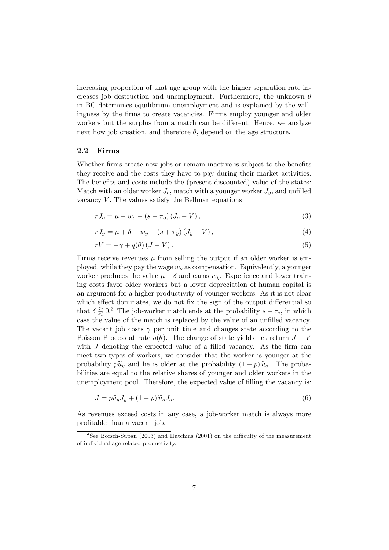increasing proportion of that age group with the higher separation rate increases job destruction and unemployment. Furthermore, the unknown  $\theta$ in BC determines equilibrium unemployment and is explained by the willingness by the firms to create vacancies. Firms employ younger and older workers but the surplus from a match can be different. Hence, we analyze next how job creation, and therefore  $\theta$ , depend on the age structure.

### 2.2 Firms

Whether firms create new jobs or remain inactive is subject to the benefits they receive and the costs they have to pay during their market activities. The benefits and costs include the (present discounted) value of the states: Match with an older worker  $J_o$ , match with a younger worker  $J_v$ , and unfilled vacancy  $V$ . The values satisfy the Bellman equations

$$
rJ_o = \mu - w_o - (s + \tau_o)(J_o - V),
$$
\n(3)

$$
rJ_y = \mu + \delta - w_y - (s + \tau_y)(J_y - V), \qquad (4)
$$

$$
rV = -\gamma + q(\theta) (J - V). \tag{5}
$$

Firms receive revenues  $\mu$  from selling the output if an older worker is employed, while they pay the wage  $w<sub>o</sub>$  as compensation. Equivalently, a younger worker produces the value  $\mu + \delta$  and earns  $w_y$ . Experience and lower training costs favor older workers but a lower depreciation of human capital is an argument for a higher productivity of younger workers. As it is not clear which effect dominates, we do not fix the sign of the output differential so that  $\delta \geq 0.3$  The job-worker match ends at the probability  $s + \tau_i$ , in which case the value of the match is replaced by the value of an unfilled vacancy. The vacant job costs  $\gamma$  per unit time and changes state according to the Poisson Process at rate  $q(\theta)$ . The change of state yields net return  $J - V$ with  $J$  denoting the expected value of a filled vacancy. As the firm can meet two types of workers, we consider that the worker is younger at the probability  $p\tilde{u}_y$  and he is older at the probability  $(1-p)\tilde{u}_o$ . The probabilities are equal to the relative shares of younger and older workers in the unemployment pool. Therefore, the expected value of filling the vacancy is:

$$
J = p\widetilde{u}_y J_y + (1 - p)\widetilde{u}_o J_o.
$$
\n<sup>(6)</sup>

As revenues exceed costs in any case, a job-worker match is always more profitable than a vacant job.

<sup>&</sup>lt;sup>3</sup>See Börsch-Supan (2003) and Hutchins (2001) on the difficulty of the measurement of individual age-related productivity.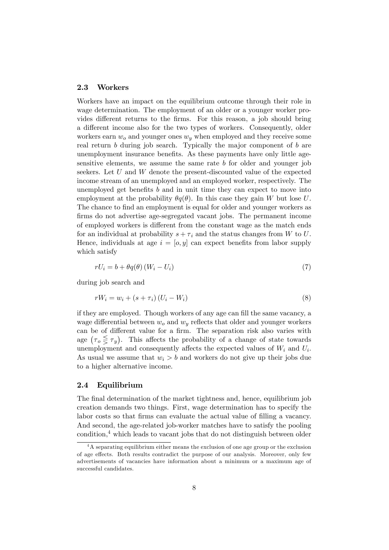#### 2.3 Workers

Workers have an impact on the equilibrium outcome through their role in wage determination. The employment of an older or a younger worker provides different returns to the firms. For this reason, a job should bring a different income also for the two types of workers. Consequently, older workers earn  $w<sub>o</sub>$  and younger ones  $w<sub>y</sub>$  when employed and they receive some real return  $b$  during job search. Typically the major component of  $b$  are unemployment insurance benefits. As these payments have only little agesensitive elements, we assume the same rate b for older and younger job seekers. Let U and W denote the present-discounted value of the expected income stream of an unemployed and an employed worker, respectively. The unemployed get benefits  $b$  and in unit time they can expect to move into employment at the probability  $\theta q(\theta)$ . In this case they gain W but lose U. The chance to find an employment is equal for older and younger workers as firms do not advertise age-segregated vacant jobs. The permanent income of employed workers is different from the constant wage as the match ends for an individual at probability  $s + \tau_i$  and the status changes from W to U. Hence, individuals at age  $i = [o, y]$  can expect benefits from labor supply which satisfy

$$
rU_i = b + \theta q(\theta) (W_i - U_i)
$$
\n<sup>(7)</sup>

during job search and

$$
rW_i = w_i + (s + \tau_i)(U_i - W_i)
$$
\n
$$
(8)
$$

if they are employed. Though workers of any age can fill the same vacancy, a wage differential between  $w<sub>o</sub>$  and  $w<sub>y</sub>$  reflects that older and younger workers can be of different value for a firm. The separation risk also varies with age  $(\tau_o \leq \tau_y)$ . This affects the probability of a change of state towards unemployment and consequently affects the expected values of  $W_i$  and  $U_i$ . As usual we assume that  $w_i > b$  and workers do not give up their jobs due to a higher alternative income.

# 2.4 Equilibrium

The final determination of the market tightness and, hence, equilibrium job creation demands two things. First, wage determination has to specify the labor costs so that firms can evaluate the actual value of filling a vacancy. And second, the age-related job-worker matches have to satisfy the pooling  $\alpha$  condition,<sup>4</sup> which leads to vacant jobs that do not distinguish between older

 $4A$  separating equilibrium either means the exclusion of one age group or the exclusion of age effects. Both results contradict the purpose of our analysis. Moreover, only few advertisements of vacancies have information about a minimum or a maximum age of successful candidates.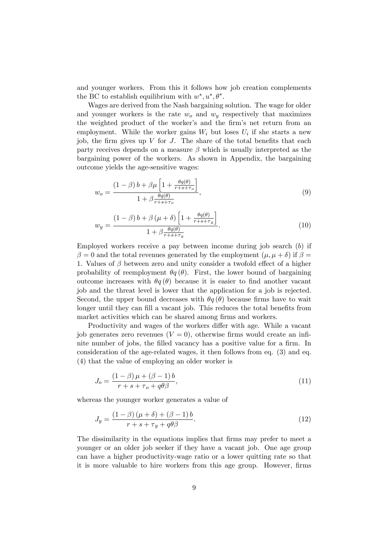and younger workers. From this it follows how job creation complements the BC to establish equilibrium with  $w^*, u^*, \theta^*$ .

Wages are derived from the Nash bargaining solution. The wage for older and younger workers is the rate  $w<sub>o</sub>$  and  $w<sub>y</sub>$  respectively that maximizes the weighted product of the worker's and the firm's net return from an employment. While the worker gains  $W_i$  but loses  $U_i$  if she starts a new job, the firm gives up  $V$  for  $J$ . The share of the total benefits that each party receives depends on a measure  $\beta$  which is usually interpreted as the bargaining power of the workers. As shown in Appendix, the bargaining outcome yields the age-sensitive wages:

$$
w_o = \frac{(1 - \beta) b + \beta \mu \left[1 + \frac{\theta q(\theta)}{r + s + \tau_o}\right]}{1 + \beta \frac{\theta q(\theta)}{r + s + \tau_o}},\tag{9}
$$

$$
w_y = \frac{\left(1 - \beta\right)b + \beta\left(\mu + \delta\right)\left[1 + \frac{\theta q(\theta)}{r + s + \tau_y}\right]}{1 + \beta\frac{\theta q(\theta)}{r + s + \tau_y}}.\tag{10}
$$

Employed workers receive a pay between income during job search (b) if  $\beta = 0$  and the total revenues generated by the employment  $(\mu, \mu + \delta)$  if  $\beta =$ 1. Values of  $\beta$  between zero and unity consider a twofold effect of a higher probability of reemployment  $\theta q(\theta)$ . First, the lower bound of bargaining outcome increases with  $\theta q(\theta)$  because it is easier to find another vacant job and the threat level is lower that the application for a job is rejected. Second, the upper bound decreases with  $\theta q(\theta)$  because firms have to wait longer until they can fill a vacant job. This reduces the total benefits from market activities which can be shared among firms and workers.

Productivity and wages of the workers differ with age. While a vacant job generates zero revenues  $(V = 0)$ , otherwise firms would create an infinite number of jobs, the filled vacancy has a positive value for a firm. In consideration of the age-related wages, it then follows from eq. (3) and eq. (4) that the value of employing an older worker is

$$
J_o = \frac{(1 - \beta)\mu + (\beta - 1)b}{r + s + \tau_o + q\theta\beta},\tag{11}
$$

whereas the younger worker generates a value of

$$
J_y = \frac{(1 - \beta)(\mu + \delta) + (\beta - 1)b}{r + s + \tau_y + q\theta\beta}.
$$
\n(12)

The dissimilarity in the equations implies that firms may prefer to meet a younger or an older job seeker if they have a vacant job. One age group can have a higher productivity-wage ratio or a lower quitting rate so that it is more valuable to hire workers from this age group. However, firms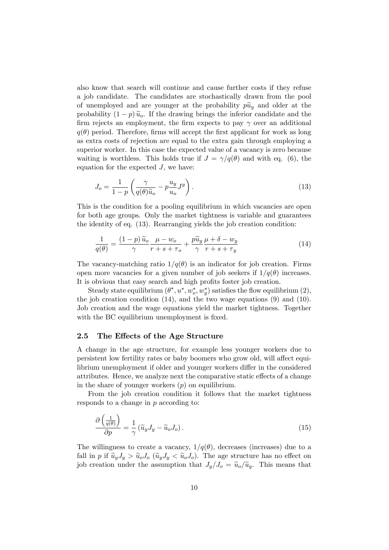also know that search will continue and cause further costs if they refuse a job candidate. The candidates are stochastically drawn from the pool of unemployed and are younger at the probability  $p\tilde{u}_y$  and older at the probability  $(1-p)\tilde{u}_o$ . If the drawing brings the inferior candidate and the firm rejects an employment, the firm expects to pay  $\gamma$  over an additional  $q(\theta)$  period. Therefore, firms will accept the first applicant for work as long as extra costs of rejection are equal to the extra gain through employing a superior worker. In this case the expected value of a vacancy is zero because waiting is worthless. This holds true if  $J = \gamma/q(\theta)$  and with eq. (6), the equation for the expected  $J$ , we have:

$$
J_o = \frac{1}{1 - p} \left( \frac{\gamma}{q(\theta)\widetilde{u}_o} - p \frac{u_y}{u_o} J^y \right).
$$
 (13)

This is the condition for a pooling equilibrium in which vacancies are open for both age groups. Only the market tightness is variable and guarantees the identity of eq. (13). Rearranging yields the job creation condition:

$$
\frac{1}{q(\theta)} = \frac{(1-p)\,\widetilde{u}_o}{\gamma} \frac{\mu - w_o}{r + s + \tau_o} + \frac{p\widetilde{u}_y}{\gamma} \frac{\mu + \delta - w_y}{r + s + \tau_y} \tag{14}
$$

The vacancy-matching ratio  $1/q(\theta)$  is an indicator for job creation. Firms open more vacancies for a given number of job seekers if  $1/q(\theta)$  increases. It is obvious that easy search and high profits foster job creation.

Steady state equilibrium  $(\theta^*, u^*, w_o^*, w_y^*)$  satisfies the flow equilibrium  $(2)$ , the job creation condition (14), and the two wage equations (9) and (10). Job creation and the wage equations yield the market tightness. Together with the BC equilibrium unemployment is fixed.

## 2.5 The Effects of the Age Structure

A change in the age structure, for example less younger workers due to persistent low fertility rates or baby boomers who grow old, will affect equilibrium unemployment if older and younger workers differ in the considered attributes. Hence, we analyze next the comparative static effects of a change in the share of younger workers  $(p)$  on equilibrium.

From the job creation condition it follows that the market tightness responds to a change in p according to:

$$
\frac{\partial \left(\frac{1}{q(\theta)}\right)}{\partial p} = \frac{1}{\gamma} \left(\widetilde{u}_y J_y - \widetilde{u}_o J_o\right). \tag{15}
$$

The willingness to create a vacancy,  $1/q(\theta)$ , decreases (increases) due to a fall in p if  $\tilde{u}_y J_y > \tilde{u}_o J_o$  ( $\tilde{u}_y J_y < \tilde{u}_o J_o$ ). The age structure has no effect on job creation under the assumption that  $J_y/J_o = \tilde{u}_o/\tilde{u}_y$ . This means that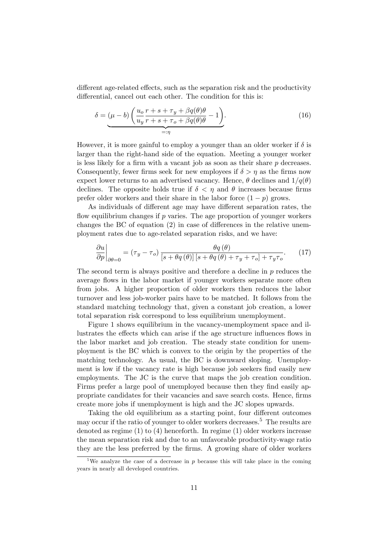different age-related effects, such as the separation risk and the productivity differential, cancel out each other. The condition for this is:

$$
\delta = (\mu - b) \left( \frac{u_o}{u_y} \frac{r + s + \tau_y + \beta q(\theta)\theta}{r + s + \tau_o + \beta q(\theta)\theta} - 1 \right).
$$
\n(16)

However, it is more gainful to employ a younger than an older worker if  $\delta$  is larger than the right-hand side of the equation. Meeting a younger worker is less likely for a firm with a vacant job as soon as their share  $p$  decreases. Consequently, fewer firms seek for new employees if  $\delta > \eta$  as the firms now expect lower returns to an advertised vacancy. Hence,  $\theta$  declines and  $1/q(\theta)$ declines. The opposite holds true if  $\delta < \eta$  and  $\theta$  increases because firms prefer older workers and their share in the labor force  $(1 - p)$  grows.

As individuals of different age may have different separation rates, the flow equilibrium changes if  $p$  varies. The age proportion of younger workers changes the BC of equation  $(2)$  in case of differences in the relative unemployment rates due to age-related separation risks, and we have:

$$
\left. \frac{\partial u}{\partial p} \right|_{\partial \theta = 0} = (\tau_y - \tau_o) \frac{\theta q(\theta)}{[s + \theta q(\theta)] [s + \theta q(\theta) + \tau_y + \tau_o] + \tau_y \tau_o}.
$$
 (17)

The second term is always positive and therefore a decline in  $p$  reduces the average flows in the labor market if younger workers separate more often from jobs. A higher proportion of older workers then reduces the labor turnover and less job-worker pairs have to be matched. It follows from the standard matching technology that, given a constant job creation, a lower total separation risk correspond to less equilibrium unemployment.

Figure 1 shows equilibrium in the vacancy-unemployment space and illustrates the effects which can arise if the age structure influences flows in the labor market and job creation. The steady state condition for unemployment is the BC which is convex to the origin by the properties of the matching technology. As usual, the BC is downward sloping. Unemployment is low if the vacancy rate is high because job seekers find easily new employments. The JC is the curve that maps the job creation condition. Firms prefer a large pool of unemployed because then they find easily appropriate candidates for their vacancies and save search costs. Hence, Örms create more jobs if unemployment is high and the JC slopes upwards.

Taking the old equilibrium as a starting point, four different outcomes may occur if the ratio of younger to older workers decreases.<sup>5</sup> The results are denoted as regime (1) to (4) henceforth. In regime (1) older workers increase the mean separation risk and due to an unfavorable productivity-wage ratio they are the less preferred by the firms. A growing share of older workers

<sup>&</sup>lt;sup>5</sup>We analyze the case of a decrease in p because this will take place in the coming years in nearly all developed countries.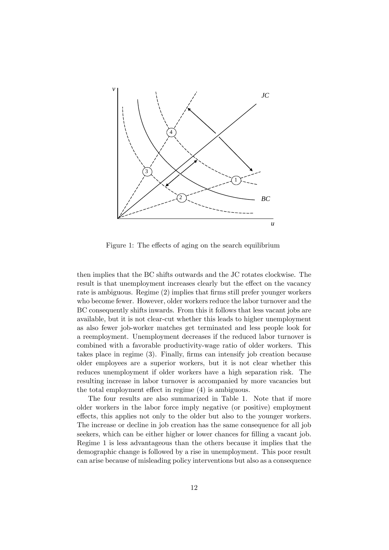

Figure 1: The effects of aging on the search equilibrium

then implies that the BC shifts outwards and the JC rotates clockwise. The result is that unemployment increases clearly but the effect on the vacancy rate is ambiguous. Regime (2) implies that firms still prefer younger workers who become fewer. However, older workers reduce the labor turnover and the BC consequently shifts inwards. From this it follows that less vacant jobs are available, but it is not clear-cut whether this leads to higher unemployment as also fewer job-worker matches get terminated and less people look for a reemployment. Unemployment decreases if the reduced labor turnover is combined with a favorable productivity-wage ratio of older workers. This takes place in regime  $(3)$ . Finally, firms can intensify job creation because older employees are a superior workers, but it is not clear whether this reduces unemployment if older workers have a high separation risk. The resulting increase in labor turnover is accompanied by more vacancies but the total employment effect in regime  $(4)$  is ambiguous.

The four results are also summarized in Table 1. Note that if more older workers in the labor force imply negative (or positive) employment effects, this applies not only to the older but also to the younger workers. The increase or decline in job creation has the same consequence for all job seekers, which can be either higher or lower chances for filling a vacant job. Regime 1 is less advantageous than the others because it implies that the demographic change is followed by a rise in unemployment. This poor result can arise because of misleading policy interventions but also as a consequence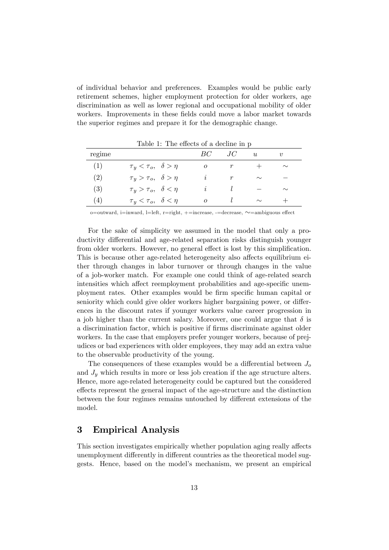of individual behavior and preferences. Examples would be public early retirement schemes, higher employment protection for older workers, age discrimination as well as lower regional and occupational mobility of older workers. Improvements in these fields could move a labor market towards the superior regimes and prepare it for the demographic change.

| rapic r. The cheets of a decline in p |                                        |          |                  |        |        |
|---------------------------------------|----------------------------------------|----------|------------------|--------|--------|
| regime                                |                                        | BC.      | JC.              | u      | $\eta$ |
| (1)                                   | $\tau_y < \tau_o, \quad \delta > \eta$ | 0        | $\boldsymbol{r}$ |        | $\sim$ |
| (2)                                   | $\tau_y > \tau_o, \quad \delta > \eta$ | I,       | r                | $\sim$ |        |
| (3)                                   | $\tau_y > \tau_o, \ \ \delta < \eta$   | I,       |                  |        | $\sim$ |
| (4)                                   | $\tau_y < \tau_o, \ \ \delta < \eta$   | $\Omega$ |                  | $\sim$ |        |

Table  $1$ . The effects of a decline in p

o=outward, i=inward, l=left, r=right,  $+$ =increase, -=decrease,  $\sim$ =ambiguous effect

For the sake of simplicity we assumed in the model that only a productivity differential and age-related separation risks distinguish younger from older workers. However, no general effect is lost by this simplification. This is because other age-related heterogeneity also affects equilibrium either through changes in labor turnover or through changes in the value of a job-worker match. For example one could think of age-related search intensities which affect reemployment probabilities and age-specific unemployment rates. Other examples would be Örm speciÖc human capital or seniority which could give older workers higher bargaining power, or differences in the discount rates if younger workers value career progression in a job higher than the current salary. Moreover, one could argue that  $\delta$  is a discrimination factor, which is positive if Örms discriminate against older workers. In the case that employers prefer younger workers, because of prejudices or bad experiences with older employees, they may add an extra value to the observable productivity of the young.

The consequences of these examples would be a differential between  $J_o$ and  $J<sub>y</sub>$  which results in more or less job creation if the age structure alters. Hence, more age-related heterogeneity could be captured but the considered effects represent the general impact of the age-structure and the distinction between the four regimes remains untouched by different extensions of the model.

# 3 Empirical Analysis

This section investigates empirically whether population aging really affects unemployment differently in different countries as the theoretical model suggests. Hence, based on the model's mechanism, we present an empirical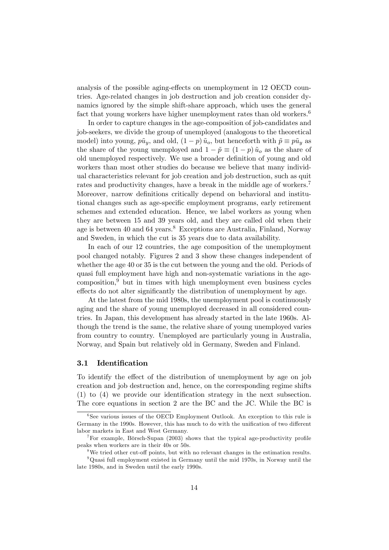analysis of the possible aging-effects on unemployment in 12 OECD countries. Age-related changes in job destruction and job creation consider dynamics ignored by the simple shift-share approach, which uses the general fact that young workers have higher unemployment rates than old workers.<sup>6</sup>

In order to capture changes in the age-composition of job-candidates and job-seekers, we divide the group of unemployed (analogous to the theoretical model) into young,  $p\tilde{u}_v$ , and old,  $(1 - p)\tilde{u}_o$ , but henceforth with  $\tilde{p} \equiv p\tilde{u}_v$  as the share of the young unemployed and  $1 - \tilde{p} \equiv (1 - p) \tilde{u}_o$  as the share of old unemployed respectively. We use a broader definition of young and old workers than most other studies do because we believe that many individual characteristics relevant for job creation and job destruction, such as quit rates and productivity changes, have a break in the middle age of workers.<sup>7</sup> Moreover, narrow definitions critically depend on behavioral and institutional changes such as age-specific employment programs, early retirement schemes and extended education. Hence, we label workers as young when they are between 15 and 39 years old, and they are called old when their age is between 40 and 64 years.<sup>8</sup> Exceptions are Australia, Finland, Norway and Sweden, in which the cut is 35 years due to data availability.

In each of our 12 countries, the age composition of the unemployment pool changed notably. Figures 2 and 3 show these changes independent of whether the age 40 or 35 is the cut between the young and the old. Periods of quasi full employment have high and non-systematic variations in the age $composition<sup>9</sup>$  but in times with high unemployment even business cycles effects do not alter significantly the distribution of unemployment by age.

At the latest from the mid 1980s, the unemployment pool is continuously aging and the share of young unemployed decreased in all considered countries. In Japan, this development has already started in the late 1960s. Although the trend is the same, the relative share of young unemployed varies from country to country. Unemployed are particularly young in Australia, Norway, and Spain but relatively old in Germany, Sweden and Finland.

## 3.1 Identification

To identify the effect of the distribution of unemployment by age on job creation and job destruction and, hence, on the corresponding regime shifts  $(1)$  to  $(4)$  we provide our identification strategy in the next subsection. The core equations in section 2 are the BC and the JC. While the BC is

<sup>&</sup>lt;sup>6</sup>See various issues of the OECD Employment Outlook. An exception to this rule is Germany in the 1990s. However, this has much to do with the unification of two different labor markets in East and West Germany.

<sup>&</sup>lt;sup>7</sup>For example, Börsch-Supan  $(2003)$  shows that the typical age-productivity profile peaks when workers are in their 40s or 50s.

 $8$ We tried other cut-off points, but with no relevant changes in the estimation results. <sup>9</sup>Quasi full employment existed in Germany until the mid 1970s, in Norway until the late 1980s, and in Sweden until the early 1990s.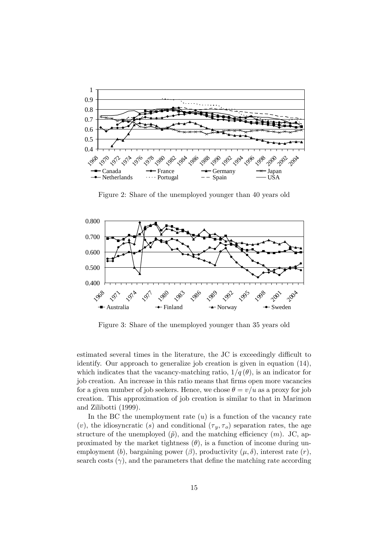

Figure 2: Share of the unemployed younger than 40 years old



Figure 3: Share of the unemployed younger than 35 years old

estimated several times in the literature, the JC is exceedingly difficult to identify. Our approach to generalize job creation is given in equation (14), which indicates that the vacancy-matching ratio,  $1/q(\theta)$ , is an indicator for job creation. An increase in this ratio means that firms open more vacancies for a given number of job seekers. Hence, we chose  $\theta = v/u$  as a proxy for job creation. This approximation of job creation is similar to that in Marimon and Zilibotti (1999).

In the BC the unemployment rate  $(u)$  is a function of the vacancy rate (v), the idiosyncratic (s) and conditional  $(\tau_y, \tau_o)$  separation rates, the age structure of the unemployed  $(\tilde{p})$ , and the matching efficiency  $(m)$ . JC, approximated by the market tightness  $(\theta)$ , is a function of income during unemployment (b), bargaining power ( $\beta$ ), productivity  $(\mu, \delta)$ , interest rate  $(r)$ , search costs  $(\gamma)$ , and the parameters that define the matching rate according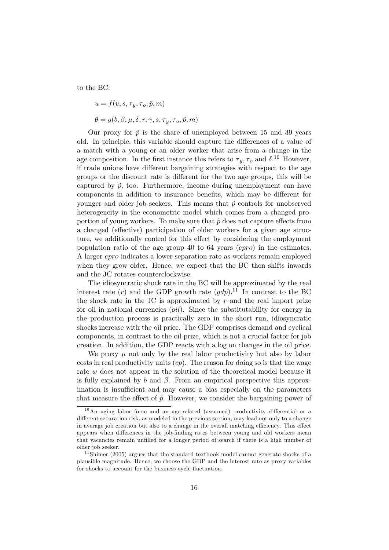to the BC:

$$
u = f(v, s, \tau_y, \tau_o, \tilde{p}, m)
$$
  

$$
\theta = g(b, \beta, \mu, \delta, r, \gamma, s, \tau_y, \tau_o, \tilde{p}, m)
$$

Our proxy for  $\tilde{p}$  is the share of unemployed between 15 and 39 years old. In principle, this variable should capture the differences of a value of a match with a young or an older worker that arise from a change in the age composition. In the first instance this refers to  $\tau_y, \tau_o$  and  $\delta$ .<sup>10</sup> However, if trade unions have different bargaining strategies with respect to the age groups or the discount rate is different for the two age groups, this will be captured by  $\tilde{p}$ , too. Furthermore, income during unemployment can have components in addition to insurance benefits, which may be different for younger and older job seekers. This means that  $\tilde{p}$  controls for unobserved heterogeneity in the econometric model which comes from a changed proportion of young workers. To make sure that  $\tilde{p}$  does not capture effects from a changed (effective) participation of older workers for a given age structure, we additionally control for this effect by considering the employment population ratio of the age group 40 to 64 years (epro) in the estimates. A larger epro indicates a lower separation rate as workers remain employed when they grow older. Hence, we expect that the BC then shifts inwards and the JC rotates counterclockwise.

The idiosyncratic shock rate in the BC will be approximated by the real interest rate  $(r)$  and the GDP growth rate  $(qdp)$ .<sup>11</sup> In contrast to the BC the shock rate in the JC is approximated by  $r$  and the real import prize for oil in national currencies (*oil*). Since the substitutability for energy in the production process is practically zero in the short run, idiosyncratic shocks increase with the oil price. The GDP comprises demand and cyclical components, in contrast to the oil prize, which is not a crucial factor for job creation. In addition, the GDP reacts with a log on changes in the oil price.

We proxy  $\mu$  not only by the real labor productivity but also by labor costs in real productivity units  $(cp)$ . The reason for doing so is that the wage rate w does not appear in the solution of the theoretical model because it is fully explained by b and  $\beta$ . From an empirical perspective this approximation is insufficient and may cause a bias especially on the parameters that measure the effect of  $\tilde{p}$ . However, we consider the bargaining power of

 $10$ An aging labor force and an age-related (assumed) productivity differential or a different separation risk, as modeled in the previous section, may lead not only to a change in average job creation but also to a change in the overall matching efficiency. This effect appears when differences in the job-finding rates between young and old workers mean that vacancies remain unfilled for a longer period of search if there is a high number of older job seeker.

<sup>&</sup>lt;sup>11</sup> Shimer (2005) argues that the standard textbook model cannot generate shocks of a plausible magnitude. Hence, we choose the GDP and the interest rate as proxy variables for shocks to account for the business-cycle fluctuation.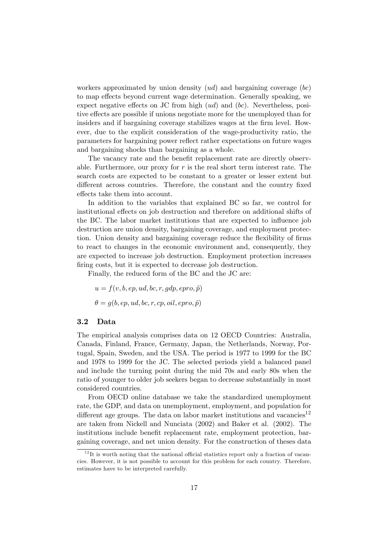workers approximated by union density  $(ud)$  and bargaining coverage  $(bc)$ to map effects beyond current wage determination. Generally speaking, we expect negative effects on JC from high  $(ud)$  and  $(bc)$ . Nevertheless, positive effects are possible if unions negotiate more for the unemployed than for insiders and if bargaining coverage stabilizes wages at the firm level. However, due to the explicit consideration of the wage-productivity ratio, the parameters for bargaining power reáect rather expectations on future wages and bargaining shocks than bargaining as a whole.

The vacancy rate and the benefit replacement rate are directly observable. Furthermore, our proxy for  $r$  is the real short term interest rate. The search costs are expected to be constant to a greater or lesser extent but different across countries. Therefore, the constant and the country fixed effects take them into account.

In addition to the variables that explained BC so far, we control for institutional effects on job destruction and therefore on additional shifts of the BC. The labor market institutions that are expected to influence job destruction are union density, bargaining coverage, and employment protection. Union density and bargaining coverage reduce the flexibility of firms to react to changes in the economic environment and, consequently, they are expected to increase job destruction. Employment protection increases firing costs, but it is expected to decrease job destruction.

Finally, the reduced form of the BC and the JC are:

 $u = f(v, b, ep, ud, bc, r, gdp, epro, \tilde{p})$  $\theta = q(b, ep, ud, bc, r, cp, oil, epro, \tilde{p})$ 

# 3.2 Data

The empirical analysis comprises data on 12 OECD Countries: Australia, Canada, Finland, France, Germany, Japan, the Netherlands, Norway, Portugal, Spain, Sweden, and the USA. The period is 1977 to 1999 for the BC and 1978 to 1999 for the JC. The selected periods yield a balanced panel and include the turning point during the mid 70s and early 80s when the ratio of younger to older job seekers began to decrease substantially in most considered countries.

From OECD online database we take the standardized unemployment rate, the GDP, and data on unemployment, employment, and population for different age groups. The data on labor market institutions and vacancies<sup>12</sup> are taken from Nickell and Nunciata (2002) and Baker et al. (2002). The institutions include benefit replacement rate, employment protection, bargaining coverage, and net union density. For the construction of theses data

 $12$ It is worth noting that the national official statistics report only a fraction of vacancies. However, it is not possible to account for this problem for each country. Therefore, estimates have to be interpreted carefully.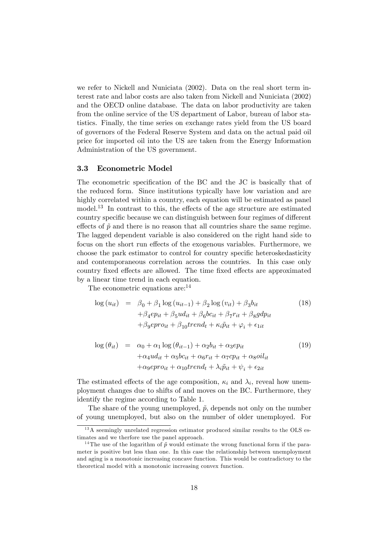we refer to Nickell and Nuniciata (2002). Data on the real short term interest rate and labor costs are also taken from Nickell and Nuniciata (2002) and the OECD online database. The data on labor productivity are taken from the online service of the US department of Labor, bureau of labor statistics. Finally, the time series on exchange rates yield from the US board of governors of the Federal Reserve System and data on the actual paid oil price for imported oil into the US are taken from the Energy Information Administration of the US government.

#### 3.3 Econometric Model

The econometric specification of the BC and the JC is basically that of the reduced form. Since institutions typically have low variation and are highly correlated within a country, each equation will be estimated as panel model.<sup>13</sup> In contrast to this, the effects of the age structure are estimated country specific because we can distinguish between four regimes of different effects of  $\tilde{p}$  and there is no reason that all countries share the same regime. The lagged dependent variable is also considered on the right hand side to focus on the short run effects of the exogenous variables. Furthermore, we choose the park estimator to control for country specific heteroskedasticity and contemporaneous correlation across the countries. In this case only country fixed effects are allowed. The time fixed effects are approximated by a linear time trend in each equation.

The econometric equations are:<sup>14</sup>

$$
\log (u_{it}) = \beta_0 + \beta_1 \log (u_{it-1}) + \beta_2 \log (v_{it}) + \beta_3 b_{it}
$$
  
+  $\beta_4 e p_{it} + \beta_5 u d_{it} + \beta_6 b c_{it} + \beta_7 r_{it} + \beta_8 g d p_{it}$   
+  $\beta_9 e pro_{it} + \beta_{10} t rend_t + \kappa_i \tilde{p}_{it} + \varphi_i + \epsilon_{1it}$  (18)

$$
\log (\theta_{it}) = \alpha_0 + \alpha_1 \log (\theta_{it-1}) + \alpha_2 b_{it} + \alpha_3 e p_{it}
$$
  
+ 
$$
\alpha_4 u d_{it} + \alpha_5 b c_{it} + \alpha_6 r_{it} + \alpha_7 c p_{it} + \alpha_8 o i l_{it}
$$
  
+ 
$$
\alpha_9 e p r o_{it} + \alpha_{10} t r e n d_t + \lambda_i \tilde{p}_{it} + \psi_i + \epsilon_{2it}
$$

$$
(19)
$$

The estimated effects of the age composition,  $\kappa_i$  and  $\lambda_i$ , reveal how unemployment changes due to shifts of and moves on the BC. Furthermore, they identify the regime according to Table 1.

The share of the young unemployed,  $\tilde{p}$ , depends not only on the number of young unemployed, but also on the number of older unemployed. For

 $13\text{ Å}$  seemingly unrelated regression estimator produced similar results to the OLS estimates and we therfore use the panel approach.

<sup>&</sup>lt;sup>14</sup>The use of the logarithm of  $\tilde{p}$  would estimate the wrong functional form if the parameter is positive but less than one. In this case the relationship between unemployment and aging is a monotonic increasing concave function. This would be contradictory to the theoretical model with a monotonic increasing convex function.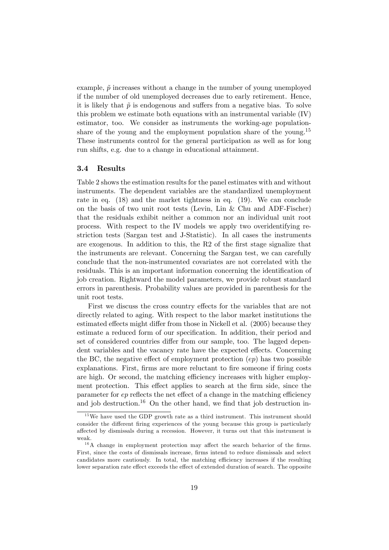example,  $\tilde{p}$  increases without a change in the number of young unemployed if the number of old unemployed decreases due to early retirement. Hence, it is likely that  $\tilde{p}$  is endogenous and suffers from a negative bias. To solve this problem we estimate both equations with an instrumental variable (IV) estimator, too. We consider as instruments the working-age populationshare of the young and the employment population share of the young.<sup>15</sup> These instruments control for the general participation as well as for long run shifts, e.g. due to a change in educational attainment.

## 3.4 Results

Table 2 shows the estimation results for the panel estimates with and without instruments. The dependent variables are the standardized unemployment rate in eq. (18) and the market tightness in eq. (19). We can conclude on the basis of two unit root tests (Levin, Lin & Chu and ADF-Fischer) that the residuals exhibit neither a common nor an individual unit root process. With respect to the IV models we apply two overidentifying restriction tests (Sargan test and J-Statistic). In all cases the instruments are exogenous. In addition to this, the  $R2$  of the first stage signalize that the instruments are relevant. Concerning the Sargan test, we can carefully conclude that the non-instrumented covariates are not correlated with the residuals. This is an important information concerning the identification of job creation. Rightward the model parameters, we provide robust standard errors in parenthesis. Probability values are provided in parenthesis for the unit root tests.

First we discuss the cross country effects for the variables that are not directly related to aging. With respect to the labor market institutions the estimated effects might differ from those in Nickell et al. (2005) because they estimate a reduced form of our specification. In addition, their period and set of considered countries differ from our sample, too. The lagged dependent variables and the vacancy rate have the expected effects. Concerning the BC, the negative effect of employment protection  $(ep)$  has two possible explanations. First, firms are more reluctant to fire someone if firing costs are high. Or second, the matching efficiency increases with higher employment protection. This effect applies to search at the firm side, since the parameter for  $ep$  reflects the net effect of a change in the matching efficiency and job destruction.<sup>16</sup> On the other hand, we find that job destruction in-

 $15$  We have used the GDP growth rate as a third instrument. This instrument should consider the different firing experiences of the young because this group is particularly affected by dismissals during a recession. However, it turns out that this instrument is weak.

 $16A$  change in employment protection may affect the search behavior of the firms. First, since the costs of dismissals increase, firms intend to reduce dismissals and select candidates more cautiously. In total, the matching efficiency increases if the resulting lower separation rate effect exceeds the effect of extended duration of search. The opposite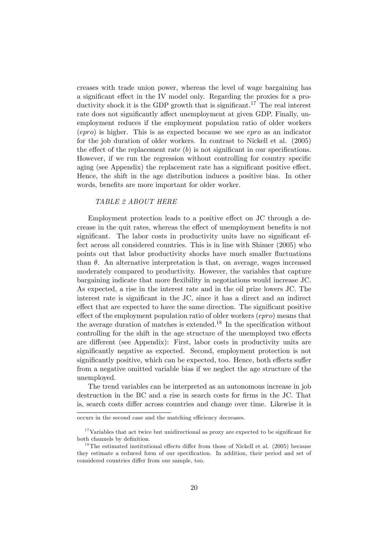creases with trade union power, whereas the level of wage bargaining has a significant effect in the IV model only. Regarding the proxies for a productivity shock it is the GDP growth that is significant.<sup>17</sup> The real interest rate does not significantly affect unemployment at given GDP. Finally, unemployment reduces if the employment population ratio of older workers  $(epro)$  is higher. This is as expected because we see  $epro$  as an indicator for the job duration of older workers. In contrast to Nickell et al. (2005) the effect of the replacement rate  $(b)$  is not significant in our specifications. However, if we run the regression without controlling for country specific aging (see Appendix) the replacement rate has a significant positive effect. Hence, the shift in the age distribution induces a positive bias. In other words, benefits are more important for older worker.

#### TABLE 2 ABOUT HERE

Employment protection leads to a positive effect on JC through a decrease in the quit rates, whereas the effect of unemployment benefits is not significant. The labor costs in productivity units have no significant effect across all considered countries. This is in line with Shimer (2005) who points out that labor productivity shocks have much smaller fluctuations than  $\theta$ . An alternative interpretation is that, on average, wages increased moderately compared to productivity. However, the variables that capture bargaining indicate that more flexibility in negotiations would increase JC. As expected, a rise in the interest rate and in the oil prize lowers JC. The interest rate is significant in the JC, since it has a direct and an indirect effect that are expected to have the same direction. The significant positive effect of the employment population ratio of older workers  $(epro)$  means that the average duration of matches is extended.<sup>18</sup> In the specification without controlling for the shift in the age structure of the unemployed two effects are different (see Appendix): First, labor costs in productivity units are significantly negative as expected. Second, employment protection is not significantly positive, which can be expected, too. Hence, both effects suffer from a negative omitted variable bias if we neglect the age structure of the unemployed.

The trend variables can be interpreted as an autonomous increase in job destruction in the BC and a rise in search costs for firms in the JC. That is, search costs differ across countries and change over time. Likewise it is

occurs in the second case and the matching efficiency decreases.

 $17$  Variables that act twice but unidirectional as proxy are expected to be significant for both channels by definition.

 $18$ The estimated institutional effects differ from those of Nickell et al. (2005) because they estimate a reduced form of our specification. In addition, their period and set of considered countries differ from our sample, too.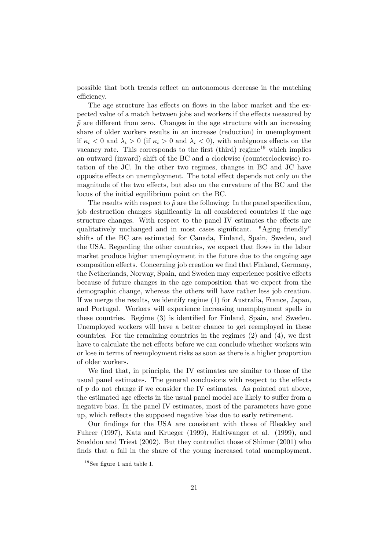possible that both trends reflect an autonomous decrease in the matching efficiency.

The age structure has effects on flows in the labor market and the expected value of a match between jobs and workers if the effects measured by  $\tilde{p}$  are different from zero. Changes in the age structure with an increasing share of older workers results in an increase (reduction) in unemployment if  $\kappa_i < 0$  and  $\lambda_i > 0$  (if  $\kappa_i > 0$  and  $\lambda_i < 0$ ), with ambiguous effects on the vacancy rate. This corresponds to the first (third) regime<sup>19</sup> which implies an outward (inward) shift of the BC and a clockwise (counterclockwise) rotation of the JC. In the other two regimes, changes in BC and JC have opposite effects on unemployment. The total effect depends not only on the magnitude of the two effects, but also on the curvature of the BC and the locus of the initial equilibrium point on the BC.

The results with respect to  $\tilde{p}$  are the following: In the panel specification, job destruction changes significantly in all considered countries if the age structure changes. With respect to the panel IV estimates the effects are qualitatively unchanged and in most cases significant. "Aging friendly" shifts of the BC are estimated for Canada, Finland, Spain, Sweden, and the USA. Regarding the other countries, we expect that flows in the labor market produce higher unemployment in the future due to the ongoing age composition effects. Concerning job creation we find that Finland, Germany, the Netherlands, Norway, Spain, and Sweden may experience positive effects because of future changes in the age composition that we expect from the demographic change, whereas the others will have rather less job creation. If we merge the results, we identify regime (1) for Australia, France, Japan, and Portugal. Workers will experience increasing unemployment spells in these countries. Regime (3) is identified for Finland, Spain, and Sweden. Unemployed workers will have a better chance to get reemployed in these countries. For the remaining countries in the regimes  $(2)$  and  $(4)$ , we first have to calculate the net effects before we can conclude whether workers win or lose in terms of reemployment risks as soon as there is a higher proportion of older workers.

We find that, in principle, the IV estimates are similar to those of the usual panel estimates. The general conclusions with respect to the effects of  $p$  do not change if we consider the IV estimates. As pointed out above, the estimated age effects in the usual panel model are likely to suffer from a negative bias. In the panel IV estimates, most of the parameters have gone up, which reflects the supposed negative bias due to early retirement.

Our findings for the USA are consistent with those of Bleakley and Fuhrer (1997), Katz and Krueger (1999), Haltiwanger et al. (1999), and Sneddon and Triest (2002). But they contradict those of Shimer (2001) who finds that a fall in the share of the young increased total unemployment.

 $19$  See figure 1 and table 1.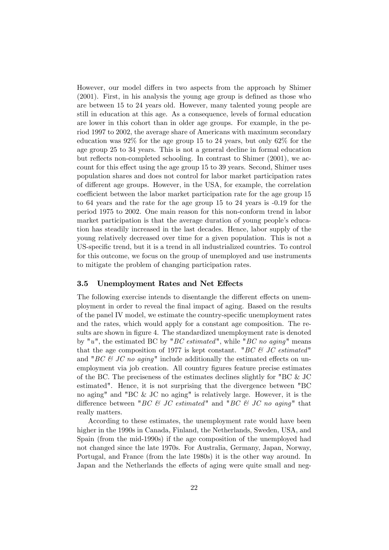However, our model differs in two aspects from the approach by Shimer  $(2001)$ . First, in his analysis the young age group is defined as those who are between 15 to 24 years old. However, many talented young people are still in education at this age. As a consequence, levels of formal education are lower in this cohort than in older age groups. For example, in the period 1997 to 2002, the average share of Americans with maximum secondary education was 92% for the age group 15 to 24 years, but only 62% for the age group 25 to 34 years. This is not a general decline in formal education but reflects non-completed schooling. In contrast to Shimer  $(2001)$ , we account for this effect using the age group 15 to 39 years. Second, Shimer uses population shares and does not control for labor market participation rates of different age groups. However, in the USA, for example, the correlation coefficient between the labor market participation rate for the age group 15 to 64 years and the rate for the age group 15 to 24 years is -0.19 for the period 1975 to 2002. One main reason for this non-conform trend in labor market participation is that the average duration of young people's education has steadily increased in the last decades. Hence, labor supply of the young relatively decreased over time for a given population. This is not a US-specific trend, but it is a trend in all industrialized countries. To control for this outcome, we focus on the group of unemployed and use instruments to mitigate the problem of changing participation rates.

#### 3.5 Unemployment Rates and Net Effects

The following exercise intends to disentangle the different effects on unemployment in order to reveal the Önal impact of aging. Based on the results of the panel IV model, we estimate the country-speciÖc unemployment rates and the rates, which would apply for a constant age composition. The results are shown in figure 4. The standardized unemployment rate is denoted by "u", the estimated BC by "BC estimated", while "BC no aging" means that the age composition of 1977 is kept constant. "BC  $\mathcal{C}$  U estimated" and "BC  $\mathcal{B}$  JC no aging" include additionally the estimated effects on unemployment via job creation. All country figures feature precise estimates of the BC. The preciseness of the estimates declines slightly for "BC  $\&$  JC estimated". Hence, it is not surprising that the divergence between "BC no aging" and "BC & JC no aging" is relatively large. However, it is the difference between "BC  $\mathcal{B}$  JC estimated" and "BC  $\mathcal{B}$  JC no aging" that really matters.

According to these estimates, the unemployment rate would have been higher in the 1990s in Canada, Finland, the Netherlands, Sweden, USA, and Spain (from the mid-1990s) if the age composition of the unemployed had not changed since the late 1970s. For Australia, Germany, Japan, Norway, Portugal, and France (from the late 1980s) it is the other way around. In Japan and the Netherlands the effects of aging were quite small and neg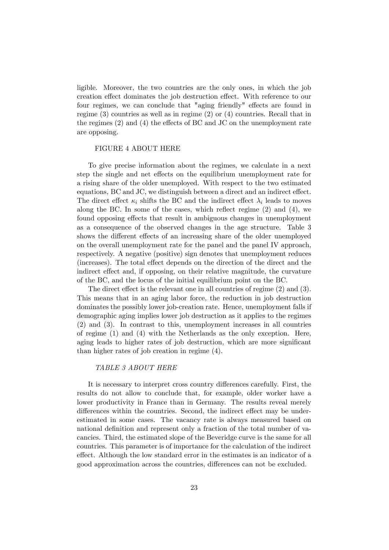ligible. Moreover, the two countries are the only ones, in which the job creation effect dominates the job destruction effect. With reference to our four regimes, we can conclude that "aging friendly" effects are found in regime (3) countries as well as in regime (2) or (4) countries. Recall that in the regimes  $(2)$  and  $(4)$  the effects of BC and JC on the unemployment rate are opposing.

#### FIGURE 4 ABOUT HERE

To give precise information about the regimes, we calculate in a next step the single and net effects on the equilibrium unemployment rate for a rising share of the older unemployed. With respect to the two estimated equations, BC and JC, we distinguish between a direct and an indirect effect. The direct effect  $\kappa_i$  shifts the BC and the indirect effect  $\lambda_i$  leads to moves along the BC. In some of the cases, which reflect regime  $(2)$  and  $(4)$ , we found opposing effects that result in ambiguous changes in unemployment as a consequence of the observed changes in the age structure. Table 3 shows the different effects of an increasing share of the older unemployed on the overall unemployment rate for the panel and the panel IV approach, respectively. A negative (positive) sign denotes that unemployment reduces (increases). The total effect depends on the direction of the direct and the indirect effect and, if opposing, on their relative magnitude, the curvature of the BC, and the locus of the initial equilibrium point on the BC.

The direct effect is the relevant one in all countries of regime  $(2)$  and  $(3)$ . This means that in an aging labor force, the reduction in job destruction dominates the possibly lower job-creation rate. Hence, unemployment falls if demographic aging implies lower job destruction as it applies to the regimes (2) and (3). In contrast to this, unemployment increases in all countries of regime (1) and (4) with the Netherlands as the only exception. Here, aging leads to higher rates of job destruction, which are more significant than higher rates of job creation in regime (4).

#### TABLE 3 ABOUT HERE

It is necessary to interpret cross country differences carefully. First, the results do not allow to conclude that, for example, older worker have a lower productivity in France than in Germany. The results reveal merely differences within the countries. Second, the indirect effect may be underestimated in some cases. The vacancy rate is always measured based on national definition and represent only a fraction of the total number of vacancies. Third, the estimated slope of the Beveridge curve is the same for all countries. This parameter is of importance for the calculation of the indirect effect. Although the low standard error in the estimates is an indicator of a good approximation across the countries, differences can not be excluded.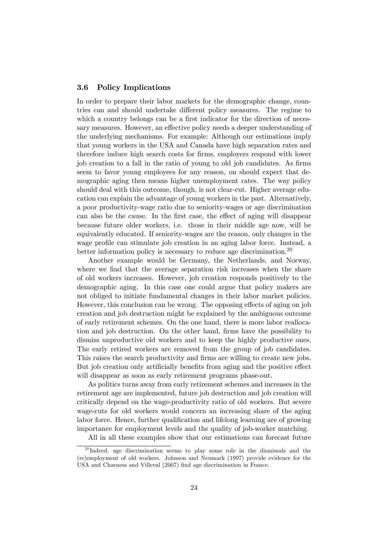## 3.6 Policy Implications

In order to prepare their labor markets for the demographic change, countries can and should undertake different policy measures. The regime to which a country belongs can be a first indicator for the direction of necessary measures. However, an effective policy needs a deeper understanding of the underlying mechanisms. For example: Although our estimations imply that young workers in the USA and Canada have high separation rates and therefore induce high search costs for firms, employers respond with lower job creation to a fall in the ratio of young to old job candidates. As firms seem to favor young employees for any reason, on should expect that demographic aging then means higher unemployment rates. The way policy should deal with this outcome, though, is not clear-cut. Higher average education can explain the advantage of young workers in the past. Alternatively, a poor productivity-wage ratio due to seniority-wages or age discrimination can also be the cause. In the first case, the effect of aging will disappear because future older workers, i.e. those in their middle age now, will be equivalently educated. If seniority-wages are the reason, only changes in the wage profile can stimulate job creation in an aging labor force. Instead, a better information policy is necessary to reduce age discrimination.<sup>20</sup>

Another example would be Germany, the Netherlands, and Norway, where we find that the average separation risk increases when the share of old workers increases. However, job creation responds positively to the demographic aging. In this case one could argue that policy makers are not obliged to initiate fundamental changes in their labor market policies. However, this conclusion can be wrong. The opposing effects of aging on job creation and job destruction might be explained by the ambiguous outcome of early retirement schemes. On the one hand, there is more labor reallocation and job destruction. On the other hand, firms have the possibility to dismiss unproductive old workers and to keep the highly productive ones. The early retired workers are removed from the group of job candidates. This raises the search productivity and firms are willing to create new jobs. But job creation only artificially benefits from aging and the positive effect will disappear as soon as early retirement programs phase-out.

As politics turns away from early retirement schemes and increases in the retirement age are implemented, future job destruction and job creation will critically depend on the wage-productivity ratio of old workers. But severe wage-cuts for old workers would concern an increasing share of the aging labor force. Hence, further qualification and lifelong learning are of growing importance for employment levels and the quality of job-worker matching.

All in all these examples show that our estimations can forecast future

 $20$  Indeed, age discrimination seems to play some role in the dismissals and the (re)employment of old workers. Johnson and Neumark (1997) provide evidence for the USA and Charness and Villeval (2007) find age discrimination in France.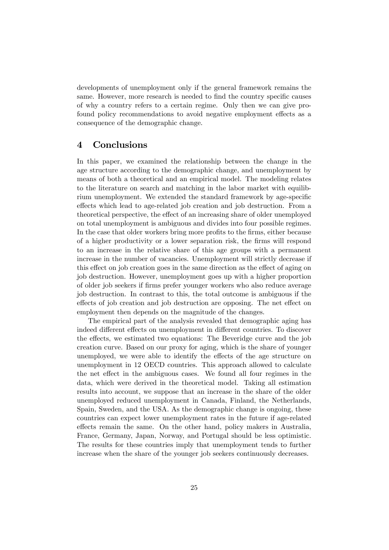developments of unemployment only if the general framework remains the same. However, more research is needed to find the country specific causes of why a country refers to a certain regime. Only then we can give profound policy recommendations to avoid negative employment effects as a consequence of the demographic change.

# 4 Conclusions

In this paper, we examined the relationship between the change in the age structure according to the demographic change, and unemployment by means of both a theoretical and an empirical model. The modeling relates to the literature on search and matching in the labor market with equilibrium unemployment. We extended the standard framework by age-specific effects which lead to age-related job creation and job destruction. From a theoretical perspective, the effect of an increasing share of older unemployed on total unemployment is ambiguous and divides into four possible regimes. In the case that older workers bring more profits to the firms, either because of a higher productivity or a lower separation risk, the Örms will respond to an increase in the relative share of this age groups with a permanent increase in the number of vacancies. Unemployment will strictly decrease if this effect on job creation goes in the same direction as the effect of aging on job destruction. However, unemployment goes up with a higher proportion of older job seekers if Örms prefer younger workers who also reduce average job destruction. In contrast to this, the total outcome is ambiguous if the effects of job creation and job destruction are opposing. The net effect on employment then depends on the magnitude of the changes.

The empirical part of the analysis revealed that demographic aging has indeed different effects on unemployment in different countries. To discover the effects, we estimated two equations: The Beveridge curve and the job creation curve. Based on our proxy for aging, which is the share of younger unemployed, we were able to identify the effects of the age structure on unemployment in 12 OECD countries. This approach allowed to calculate the net effect in the ambiguous cases. We found all four regimes in the data, which were derived in the theoretical model. Taking all estimation results into account, we suppose that an increase in the share of the older unemployed reduced unemployment in Canada, Finland, the Netherlands, Spain, Sweden, and the USA. As the demographic change is ongoing, these countries can expect lower unemployment rates in the future if age-related effects remain the same. On the other hand, policy makers in Australia, France, Germany, Japan, Norway, and Portugal should be less optimistic. The results for these countries imply that unemployment tends to further increase when the share of the younger job seekers continuously decreases.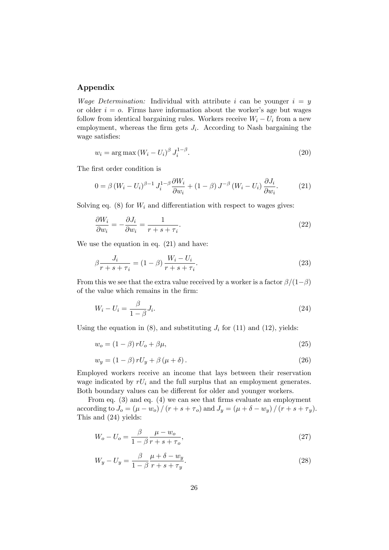### Appendix

*Wage Determination:* Individual with attribute i can be younger  $i = y$ or older  $i = o$ . Firms have information about the worker's age but wages follow from identical bargaining rules. Workers receive  $W_i - U_i$  from a new employment, whereas the firm gets  $J_i$ . According to Nash bargaining the wage satisfies:

$$
w_i = \arg \max \left( W_i - U_i \right)^{\beta} J_i^{1-\beta}.
$$
\n
$$
(20)
$$

The first order condition is

$$
0 = \beta \left( W_i - U_i \right)^{\beta - 1} J_i^{1 - \beta} \frac{\partial W_i}{\partial w_i} + (1 - \beta) J^{-\beta} \left( W_i - U_i \right) \frac{\partial J_i}{\partial w_i}.
$$
 (21)

Solving eq.  $(8)$  for  $W_i$  and differentiation with respect to wages gives:

$$
\frac{\partial W_i}{\partial w_i} = -\frac{\partial J_i}{\partial w_i} = \frac{1}{r + s + \tau_i}.\tag{22}
$$

We use the equation in eq. (21) and have:

$$
\beta \frac{J_i}{r + s + \tau_i} = (1 - \beta) \frac{W_i - U_i}{r + s + \tau_i}.
$$
\n(23)

From this we see that the extra value received by a worker is a factor  $\beta/(1-\beta)$ of the value which remains in the firm:

$$
W_i - U_i = \frac{\beta}{1 - \beta} J_i. \tag{24}
$$

Using the equation in  $(8)$ , and substituting  $J_i$  for  $(11)$  and  $(12)$ , yields:

$$
w_o = (1 - \beta) r U_o + \beta \mu,\tag{25}
$$

$$
w_y = (1 - \beta) r U_y + \beta (\mu + \delta). \tag{26}
$$

Employed workers receive an income that lays between their reservation wage indicated by  $rU_i$  and the full surplus that an employment generates. Both boundary values can be different for older and younger workers.

From eq.  $(3)$  and eq.  $(4)$  we can see that firms evaluate an employment according to  $J_o = (\mu - w_o) / (r + s + \tau_o)$  and  $J_y = (\mu + \delta - w_y) / (r + s + \tau_y)$ . This and (24) yields:

$$
W_o - U_o = \frac{\beta}{1 - \beta} \frac{\mu - w_o}{r + s + \tau_o},\tag{27}
$$

$$
W_y - U_y = \frac{\beta}{1 - \beta} \frac{\mu + \delta - w_y}{r + s + \tau_y}.
$$
\n
$$
(28)
$$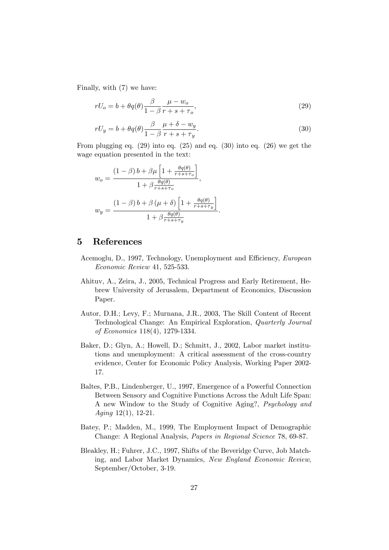Finally, with (7) we have:

$$
rU_o = b + \theta q(\theta) \frac{\beta}{1 - \beta} \frac{\mu - w_o}{r + s + \tau_o},\tag{29}
$$

$$
rU_y = b + \theta q(\theta) \frac{\beta}{1 - \beta} \frac{\mu + \delta - w_y}{r + s + \tau_y}.
$$
\n(30)

From plugging eq. (29) into eq. (25) and eq. (30) into eq. (26) we get the wage equation presented in the text:

$$
w_o = \frac{(1 - \beta) b + \beta \mu \left[1 + \frac{\theta q(\theta)}{r + s + \tau_o}\right]}{1 + \beta \frac{\theta q(\theta)}{r + s + \tau_o}},
$$

$$
w_y = \frac{(1 - \beta) b + \beta \left(\mu + \delta\right) \left[1 + \frac{\theta q(\theta)}{r + s + \tau_y}\right]}{1 + \beta \frac{\theta q(\theta)}{r + s + \tau_y}}.
$$

# 5 References

- Acemoglu, D., 1997, Technology, Unemployment and Efficiency, European Economic Review 41, 525-533.
- Ahituv, A., Zeira, J., 2005, Technical Progress and Early Retirement, Hebrew University of Jerusalem, Department of Economics, Discussion Paper.
- Autor, D.H.; Levy, F.; Murnana, J.R., 2003, The Skill Content of Recent Technological Change: An Empirical Exploration, Quarterly Journal of Economics 118(4), 1279-1334.
- Baker, D.; Glyn, A.; Howell, D.; Schmitt, J., 2002, Labor market institutions and unemployment: A critical assessment of the cross-country evidence, Center for Economic Policy Analysis, Working Paper 2002- 17.
- Baltes, P.B., Lindenberger, U., 1997, Emergence of a Powerful Connection Between Sensory and Cognitive Functions Across the Adult Life Span: A new Window to the Study of Cognitive Aging?, Psychology and Aging 12(1), 12-21.
- Batey, P.; Madden, M., 1999, The Employment Impact of Demographic Change: A Regional Analysis, Papers in Regional Science 78, 69-87.
- Bleakley, H.; Fuhrer, J.C., 1997, Shifts of the Beveridge Curve, Job Matching, and Labor Market Dynamics, New England Economic Review, September/October, 3-19.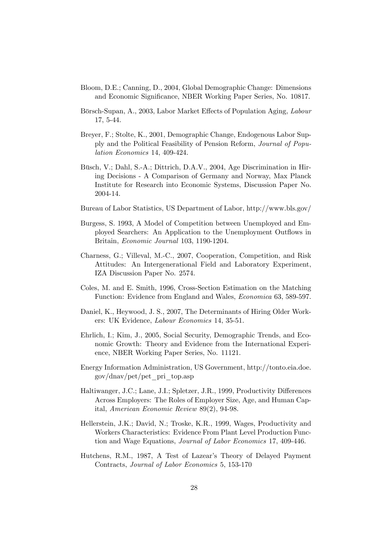- Bloom, D.E.; Canning, D., 2004, Global Demographic Change: Dimensions and Economic Significance, NBER Working Paper Series, No. 10817.
- Börsch-Supan, A., 2003, Labor Market Effects of Population Aging, Labour 17, 5-44.
- Breyer, F.; Stolte, K., 2001, Demographic Change, Endogenous Labor Supply and the Political Feasibility of Pension Reform, Journal of Population Economics 14, 409-424.
- Büsch, V.; Dahl, S.-A.; Dittrich, D.A.V., 2004, Age Discrimination in Hiring Decisions - A Comparison of Germany and Norway, Max Planck Institute for Research into Economic Systems, Discussion Paper No. 2004-14.
- Bureau of Labor Statistics, US Department of Labor, http://www.bls.gov/
- Burgess, S. 1993, A Model of Competition between Unemployed and Employed Searchers: An Application to the Unemployment Outflows in Britain, Economic Journal 103, 1190-1204.
- Charness, G.; Villeval, M.-C., 2007, Cooperation, Competition, and Risk Attitudes: An Intergenerational Field and Laboratory Experiment, IZA Discussion Paper No. 2574.
- Coles, M. and E. Smith, 1996, Cross-Section Estimation on the Matching Function: Evidence from England and Wales, Economica 63, 589-597.
- Daniel, K., Heywood, J. S., 2007, The Determinants of Hiring Older Workers: UK Evidence, Labour Economics 14, 35-51.
- Ehrlich, I.; Kim, J., 2005, Social Security, Demographic Trends, and Economic Growth: Theory and Evidence from the International Experience, NBER Working Paper Series, No. 11121.
- Energy Information Administration, US Government, http://tonto.eia.doe. gov/dnav/pet/pet\_pri\_top.asp
- Haltiwanger, J.C.; Lane, J.I.; Spletzer, J.R., 1999, Productivity Differences Across Employers: The Roles of Employer Size, Age, and Human Capital, American Economic Review 89(2), 94-98.
- Hellerstein, J.K.; David, N.; Troske, K.R., 1999, Wages, Productivity and Workers Characteristics: Evidence From Plant Level Production Function and Wage Equations, Journal of Labor Economics 17, 409-446.
- Hutchens, R.M., 1987, A Test of Lazear's Theory of Delayed Payment Contracts, Journal of Labor Economics 5, 153-170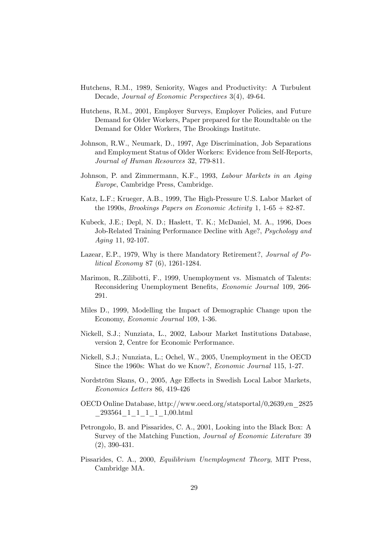- Hutchens, R.M., 1989, Seniority, Wages and Productivity: A Turbulent Decade, Journal of Economic Perspectives 3(4), 49-64.
- Hutchens, R.M., 2001, Employer Surveys, Employer Policies, and Future Demand for Older Workers, Paper prepared for the Roundtable on the Demand for Older Workers, The Brookings Institute.
- Johnson, R.W., Neumark, D., 1997, Age Discrimination, Job Separations and Employment Status of Older Workers: Evidence from Self-Reports, Journal of Human Resources 32, 779-811.
- Johnson, P. and Zimmermann, K.F., 1993, Labour Markets in an Aging Europe, Cambridge Press, Cambridge.
- Katz, L.F.; Krueger, A.B., 1999, The High-Pressure U.S. Labor Market of the 1990s, *Brookings Papers on Economic Activity* 1,  $1-65+82-87$ .
- Kubeck, J.E.; Depl, N. D.; Haslett, T. K.; McDaniel, M. A., 1996, Does Job-Related Training Performance Decline with Age?, Psychology and Aging 11, 92-107.
- Lazear, E.P., 1979, Why is there Mandatory Retirement?, Journal of Political Economy 87 (6), 1261-1284.
- Marimon, R.,Zilibotti, F., 1999, Unemployment vs. Mismatch of Talents: Reconsidering Unemployment Benefits, *Economic Journal* 109, 266-291.
- Miles D., 1999, Modelling the Impact of Demographic Change upon the Economy, Economic Journal 109, 1-36.
- Nickell, S.J.; Nunziata, L., 2002, Labour Market Institutions Database, version 2, Centre for Economic Performance.
- Nickell, S.J.; Nunziata, L.; Ochel, W., 2005, Unemployment in the OECD Since the 1960s: What do we Know?, Economic Journal 115, 1-27.
- Nordström Skans, O., 2005, Age Effects in Swedish Local Labor Markets, Economics Letters 86, 419-426
- OECD Online Database, http://www.oecd.org/statsportal/0,2639,en\_2825 \_293564\_1\_1\_1\_1\_1,00.html
- Petrongolo, B. and Pissarides, C. A., 2001, Looking into the Black Box: A Survey of the Matching Function, Journal of Economic Literature 39 (2), 390-431.
- Pissarides, C. A., 2000, Equilibrium Unemployment Theory, MIT Press, Cambridge MA.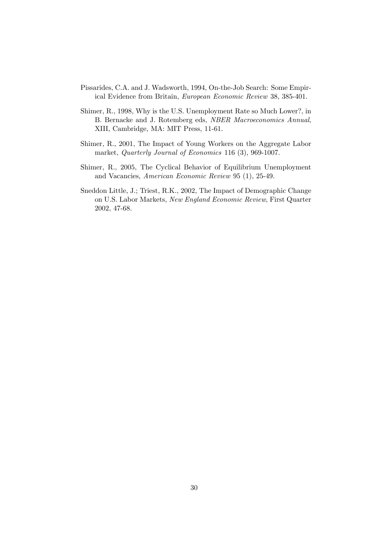- Pissarides, C.A. and J. Wadsworth, 1994, On-the-Job Search: Some Empirical Evidence from Britain, European Economic Review 38, 385-401.
- Shimer, R., 1998, Why is the U.S. Unemployment Rate so Much Lower?, in B. Bernacke and J. Rotemberg eds, NBER Macroeconomics Annual, XIII, Cambridge, MA: MIT Press, 11-61.
- Shimer, R., 2001, The Impact of Young Workers on the Aggregate Labor market, Quarterly Journal of Economics 116 (3), 969-1007.
- Shimer, R., 2005, The Cyclical Behavior of Equilibrium Unemployment and Vacancies, American Economic Review 95 (1), 25-49.
- Sneddon Little, J.; Triest, R.K., 2002, The Impact of Demographic Change on U.S. Labor Markets, New England Economic Review, First Quarter 2002, 47-68.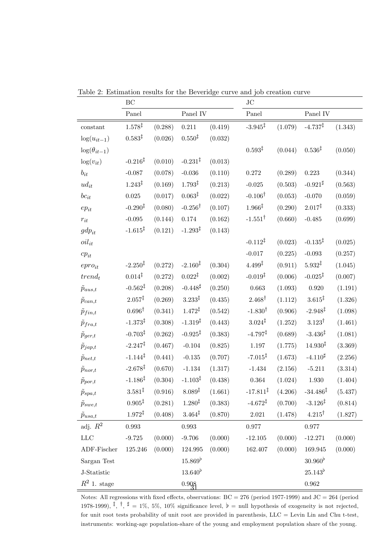|                       | BC                  |         |                     | $\rm JC$ |                                |         |                      |         |
|-----------------------|---------------------|---------|---------------------|----------|--------------------------------|---------|----------------------|---------|
|                       | Panel               |         | Panel IV            |          | Panel                          |         | Panel IV $\,$        |         |
| constant              | $1.578^{\ddagger}$  | (0.288) | $0.211\,$           | (0.419)  | $-3.945^{\ddagger}$            | (1.079) | $-4.737^{\ddagger}$  | (1.343) |
| $\log(u_{it-1})$      | $0.583^{\ddagger}$  | (0.026) | $0.550^{\ddagger}$  | (0.032)  |                                |         |                      |         |
| $\log(\theta_{it-1})$ |                     |         |                     |          | $0.593^{\ddagger}$             | (0.044) | $0.536^{\ddagger}$   | (0.050) |
| $\log(v_{it})$        | $-0.216‡$           | (0.010) | $-0.231^{\ddagger}$ | (0.013)  |                                |         |                      |         |
| $b_{it}$              | $-0.087$            | (0.078) | $-0.036$            | (0.110)  | 0.272                          | (0.289) | 0.223                | (0.344) |
| $ud_{it}$             | $1.243^{\ddagger}$  | (0.169) | $1.793^{\ddagger}$  | (0.213)  | $-0.025$                       | (0.503) | $-0.921^{\sharp}$    | (0.563) |
| $bc_{it}$             | $0.025\,$           | (0.017) | $0.063^{\ddagger}$  | (0.022)  | $-0.106^{\dagger}$             | (0.053) | $-0.070$             | (0.059) |
| $ep_{it}$             | $-0.290^{\ddagger}$ | (0.080) | $-0.256^{\dagger}$  | (0.107)  | $1.966^{\ddagger}$             | (0.290) | $2.017^{\ddagger}$   | (0.333) |
| $r_{it}$              | $-0.095$            | (0.144) | $0.174\,$           | (0.162)  | $-1.551^{\dagger}$             | (0.660) | $-0.485$             | (0.699) |
| $gdp_{it}$            | $-1.615^{\ddagger}$ | (0.121) | $-1.293^{\ddagger}$ | (0.143)  |                                |         |                      |         |
| $oil_{it}$            |                     |         |                     |          | $-0.112^{\ddagger}$            | (0.023) | $-0.135^{\ddagger}$  | (0.025) |
| $cp_{it}$             |                     |         |                     |          | $-0.017$                       | (0.225) | $-0.093$             | (0.257) |
| $e pro_{it}$          | $-2.250^{\ddagger}$ | (0.272) | $-2.160^{\ddagger}$ | (0.304)  | $4.499^{\ddagger}$             | (0.911) | $5.932^{\ddagger}$   | (1.045) |
| $trend_t$             | $0.014^{\ddagger}$  | (0.272) | $0.022^{\ddagger}$  | (0.002)  | $-0.019^{\ddagger}$            | (0.006) | $-0.025^{\ddagger}$  | (0.007) |
| $\tilde{p}_{aus,t}$   | $-0.562^{\ddagger}$ | (0.208) | $-0.448^{\sharp}$   | (0.250)  | 0.663                          | (1.093) | 0.920                | (1.191) |
| $\tilde{p}_{can,t}$   | $2.057^{\ddagger}$  | (0.269) | $3.233^{\ddagger}$  | (0.435)  | $2.468^{\dagger}$              | (1.112) | $3.615^{\ddagger}$   | (1.326) |
| $\tilde{p}_{fin,t}$   | $0.696^{\dagger}$   | (0.341) | $1.472^{\ddagger}$  | (0.542)  | $-1.830^{\dagger}$             | (0.906) | $-2.948^{\ddagger}$  | (1.098) |
| $\tilde{p}_{fra,t}$   | $-1.373^{\ddagger}$ | (0.308) | $-1.319^{\ddagger}$ | (0.443)  | $3.024^{\ddagger}$             | (1.252) | $3.123^{\dagger}$    | (1.461) |
| $\tilde{p}_{ger,t}$   | $-0.703^{\ddagger}$ | (0.262) | $-0.925^{\ddagger}$ | (0.383)  | $-4.797^{\ddagger}$            | (0.689) | $-3.436‡$            | (1.081) |
| $\tilde{p}_{jap,t}$   | $-2.247^{\ddagger}$ | (0.467) | $-0.104$            | (0.825)  | $1.197\,$                      | (1.775) | $14.930^{\ddagger}$  | (3.369) |
| $\tilde{p}_{net,t}$   | $-1.144^{\ddagger}$ | (0.441) | $-0.135$            | (0.707)  | $-7.015^{\ddagger}$            | (1.673) | $-4.110^{\sharp}$    | (2.256) |
| $\tilde{p}_{nor,t}$   | $-2.678^{\ddagger}$ | (0.670) | $-1.134$            | (1.317)  | $-1.434$                       | (2.156) | $-5.211$             | (3.314) |
| $\tilde{p}_{por,t}$   | $-1.186^{\ddagger}$ | (0.304) | $-1.103^{\ddagger}$ | (0.438)  | $\,0.364\,$                    | (1.024) | $1.930\,$            | (1.404) |
| $\tilde{p}_{spa,t}$   | $3.581^{\ddagger}$  | (0.916) | $8.089^{\ddagger}$  | (1.661)  | $-17.811^{\ddagger}$ $(4.206)$ |         | $-34.486^{\ddagger}$ | (5.437) |
| $\tilde{p}_{swe,t}$   | $0.905^{\ddagger}$  | (0.281) | $1.280^{\ddagger}$  | (0.383)  | $-4.672^{\ddagger}$            | (0.700) | $-3.126^{\ddagger}$  | (0.814) |
| $\tilde{p}_{usa,t}$   | $1.972^{\ddagger}$  | (0.408) | $3.464^{\ddagger}$  | (0.870)  | $2.021\,$                      | (1.478) | $4.215^{\dagger}$    | (1.827) |
| adj. $\mathbb{R}^2$   | 0.993               |         | $\,0.993\,$         |          | 0.977                          |         | $0.977\,$            |         |
| LLC                   | $-9.725$            | (0.000) | $-9.706$            | (0.000)  | $-12.105$                      | (0.000) | $-12.271$            | (0.000) |
| ADF-Fischer           | 125.246             | (0.000) | 124.995             | (0.000)  | 162.407                        | (0.000) | 169.945              | (0.000) |
| Sargan Test           |                     |         | $15.869^{b}$        |          |                                |         | $30.960^{b}$         |         |
| J-Statistic           |                     |         | $13.640^{b}$        |          |                                |         | $25.143^{b}$         |         |
| $R^2$ 1. stage        |                     |         | 0.908               |          |                                |         | $\,0.962\,$          |         |

Table 2: Estimation results for the Beveridge curve and job creation curve

Notes: All regressions with fixed effects, observations:  $BC = 276$  (period 1977-1999) and  $JC = 264$  (period 1978-1999),  $\frac{1}{4}$ ,  $\frac{1}{4}$  = 1%, 5%, 10% significance level,  $\flat$  = null hypothesis of exogeneity is not rejected, for unit root tests probability of unit root are provided in parenthesis, LLC = Levin Lin and Chu t-test, instruments: working-age population-share of the young and employment population share of the young.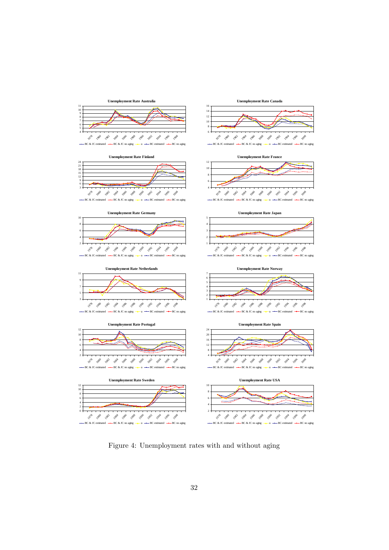

Figure 4: Unemployment rates with and without aging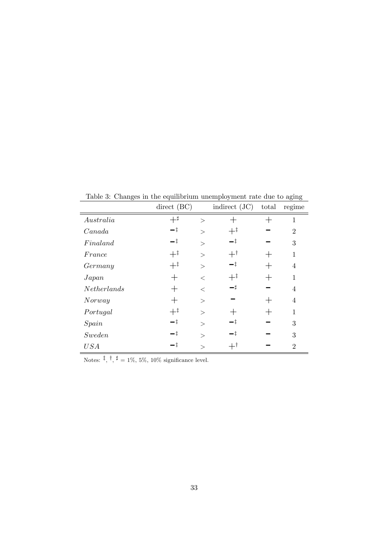|             | direct (BC)    |               | indirect $(JC)$  | total                          | regime         |
|-------------|----------------|---------------|------------------|--------------------------------|----------------|
| Australia   | $+^{\sharp}$   | $\geq$        |                  |                                | 1              |
| Canada      | —‡             | $\gt$         | $+^{\ddagger}$   |                                | $\overline{2}$ |
| Final and   | —‡             | $\gt$         | $-\ddagger$      |                                | 3              |
| France      | $+^{\ddagger}$ | $\geq$        | $+$ <sup>†</sup> |                                | $\mathbf{1}$   |
| Germany     | $+^{\ddagger}$ | >             | $-\ddagger$      | $\hspace{.1cm} +\hspace{.1cm}$ | $\overline{4}$ |
| Japan       | $\pm$          | $\,<\,$       | $+^{\ddagger}$   |                                | 1              |
| Netherlands | $\pm$          | $\,<\,$       | — ‡              |                                | $\overline{4}$ |
| Nor way     | $\pm$          | $\gt$         |                  |                                | $\overline{4}$ |
| Portugal    | $+^{\ddagger}$ | $\gt$         |                  |                                | 1              |
| Spin        | —‡             | $\gt$         | -‡               |                                | 3              |
| Sweden      | —‡             | $\mathcal{P}$ | -‡               |                                | 3              |
| USA         | —‡             | $\geq$        |                  |                                | $\overline{2}$ |

Table 3: Changes in the equilibrium unemployment rate due to aging

Notes:  $\frac{1}{7}$ ,  $\frac{1}{7}$  = 1%, 5%, 10% significance level.